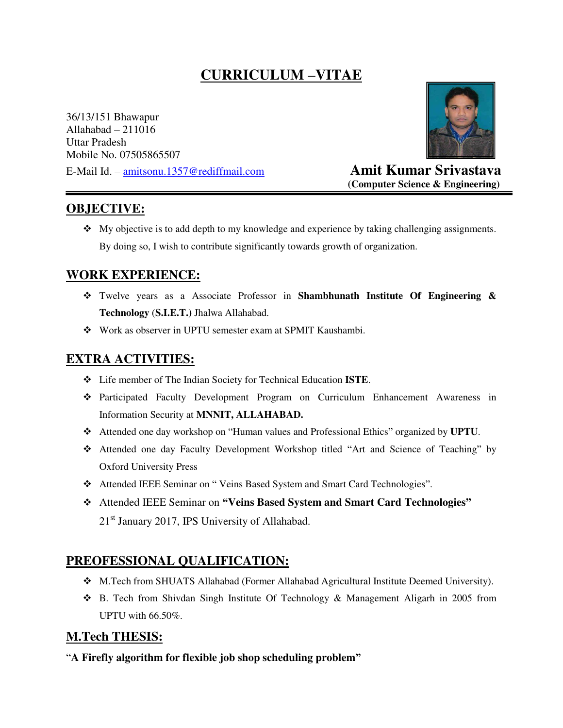# **CURRICULUM –VITAE**

36/13/151 Bhawapur Allahabad – 211016 Uttar Pradesh Mobile No. 07505865507 E-Mail Id. – [amitsonu.1357@rediffmail.com](mailto:amitsonu.1357@rediffmail.com) **Amit Kumar Srivastava** 



 **(Computer Science & Engineering)** 

## **OBJECTIVE:**

 $\bullet$  My objective is to add depth to my knowledge and experience by taking challenging assignments. By doing so, I wish to contribute significantly towards growth of organization.

## **WORK EXPERIENCE:**

- Twelve years as a Associate Professor in **Shambhunath Institute Of Engineering & Technology** (**S.I.E.T.)** Jhalwa Allahabad.
- Work as observer in UPTU semester exam at SPMIT Kaushambi.

## **EXTRA ACTIVITIES:**

- Life member of The Indian Society for Technical Education **ISTE**.
- Participated Faculty Development Program on Curriculum Enhancement Awareness in Information Security at **MNNIT, ALLAHABAD.**
- Attended one day workshop on "Human values and Professional Ethics" organized by **UPTU**.
- Attended one day Faculty Development Workshop titled "Art and Science of Teaching" by Oxford University Press
- Attended IEEE Seminar on " Veins Based System and Smart Card Technologies".
- Attended IEEE Seminar on **"Veins Based System and Smart Card Technologies"** 21<sup>st</sup> January 2017, IPS University of Allahabad.

## **PREOFESSIONAL QUALIFICATION:**

- M.Tech from SHUATS Allahabad (Former Allahabad Agricultural Institute Deemed University).
- B. Tech from Shivdan Singh Institute Of Technology & Management Aligarh in 2005 from UPTU with 66.50%.

## **M.Tech THESIS:**

"**A Firefly algorithm for flexible job shop scheduling problem"**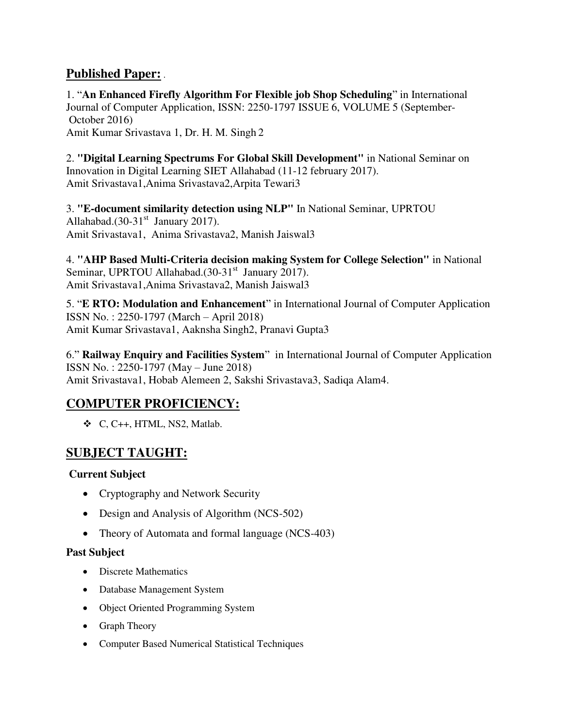## **Published Paper:** .

1. "**An Enhanced Firefly Algorithm For Flexible job Shop Scheduling**" in International Journal of Computer Application, ISSN: 2250-1797 ISSUE 6, VOLUME 5 (September- October 2016) Amit Kumar Srivastava 1, Dr. H. M. Singh 2

2. **"Digital Learning Spectrums For Global Skill Development"** in National Seminar on Innovation in Digital Learning SIET Allahabad (11-12 february 2017). Amit Srivastava1,Anima Srivastava2,Arpita Tewari3

3. **"E-document similarity detection using NLP"** In National Seminar, UPRTOU Allahabad. $(30-31<sup>st</sup>$  January 2017). Amit Srivastava1, Anima Srivastava2, Manish Jaiswal3

4. **"AHP Based Multi-Criteria decision making System for College Selection"** in National Seminar, UPRTOU Allahabad.(30-31<sup>st</sup> January 2017). Amit Srivastava1,Anima Srivastava2, Manish Jaiswal3

5. "**E RTO: Modulation and Enhancement**" in International Journal of Computer Application ISSN No. : 2250-1797 (March – April 2018) Amit Kumar Srivastava1, Aaknsha Singh2, Pranavi Gupta3

6." **Railway Enquiry and Facilities System**" in International Journal of Computer Application ISSN No. : 2250-1797 (May – June 2018) Amit Srivastava1, Hobab Alemeen 2, Sakshi Srivastava3, Sadiqa Alam4.

## **COMPUTER PROFICIENCY:**

 $\div$  C, C++, HTML, NS2, Matlab.

## **SUBJECT TAUGHT:**

### **Current Subject**

- Cryptography and Network Security
- Design and Analysis of Algorithm (NCS-502)
- Theory of Automata and formal language (NCS-403)

### **Past Subject**

- Discrete Mathematics
- Database Management System
- Object Oriented Programming System
- Graph Theory
- Computer Based Numerical Statistical Techniques